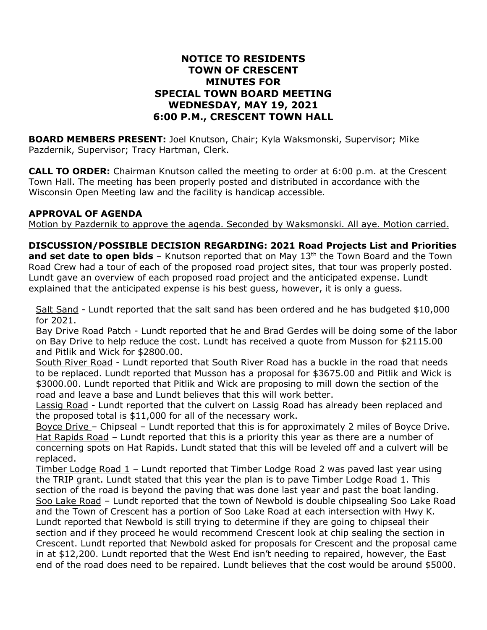## **NOTICE TO RESIDENTS TOWN OF CRESCENT MINUTES FOR SPECIAL TOWN BOARD MEETING WEDNESDAY, MAY 19, 2021 6:00 P.M., CRESCENT TOWN HALL**

**BOARD MEMBERS PRESENT:** Joel Knutson, Chair; Kyla Waksmonski, Supervisor; Mike Pazdernik, Supervisor; Tracy Hartman, Clerk.

**CALL TO ORDER:** Chairman Knutson called the meeting to order at 6:00 p.m. at the Crescent Town Hall. The meeting has been properly posted and distributed in accordance with the Wisconsin Open Meeting law and the facility is handicap accessible.

## **APPROVAL OF AGENDA**

Motion by Pazdernik to approve the agenda. Seconded by Waksmonski. All aye. Motion carried.

**DISCUSSION/POSSIBLE DECISION REGARDING: 2021 Road Projects List and Priorities and set date to open bids** – Knutson reported that on May 13th the Town Board and the Town Road Crew had a tour of each of the proposed road project sites, that tour was properly posted. Lundt gave an overview of each proposed road project and the anticipated expense. Lundt explained that the anticipated expense is his best guess, however, it is only a guess.

Salt Sand - Lundt reported that the salt sand has been ordered and he has budgeted \$10,000 for 2021.

Bay Drive Road Patch - Lundt reported that he and Brad Gerdes will be doing some of the labor on Bay Drive to help reduce the cost. Lundt has received a quote from Musson for \$2115.00 and Pitlik and Wick for \$2800.00.

South River Road - Lundt reported that South River Road has a buckle in the road that needs to be replaced. Lundt reported that Musson has a proposal for \$3675.00 and Pitlik and Wick is \$3000.00. Lundt reported that Pitlik and Wick are proposing to mill down the section of the road and leave a base and Lundt believes that this will work better.

Lassig Road - Lundt reported that the culvert on Lassig Road has already been replaced and the proposed total is \$11,000 for all of the necessary work.

Boyce Drive – Chipseal – Lundt reported that this is for approximately 2 miles of Boyce Drive. Hat Rapids Road – Lundt reported that this is a priority this year as there are a number of concerning spots on Hat Rapids. Lundt stated that this will be leveled off and a culvert will be replaced.

Timber Lodge Road 1 – Lundt reported that Timber Lodge Road 2 was paved last year using the TRIP grant. Lundt stated that this year the plan is to pave Timber Lodge Road 1. This section of the road is beyond the paving that was done last year and past the boat landing. Soo Lake Road – Lundt reported that the town of Newbold is double chipsealing Soo Lake Road and the Town of Crescent has a portion of Soo Lake Road at each intersection with Hwy K. Lundt reported that Newbold is still trying to determine if they are going to chipseal their section and if they proceed he would recommend Crescent look at chip sealing the section in Crescent. Lundt reported that Newbold asked for proposals for Crescent and the proposal came in at \$12,200. Lundt reported that the West End isn't needing to repaired, however, the East end of the road does need to be repaired. Lundt believes that the cost would be around \$5000.